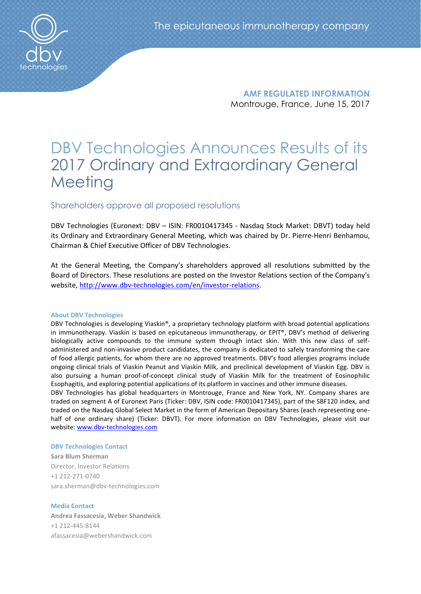

**AMF REGULATED INFORMATION** Montrouge, France, June 15, 2017

# DBV Technologies Announces Results of its 2017 Ordinary and Extraordinary General **Meeting**

## Shareholders approve all proposed resolutions

DBV Technologies (Euronext: DBV – ISIN: FR0010417345 - Nasdaq Stock Market: DBVT) today held its Ordinary and Extraordinary General Meeting, which was chaired by Dr. Pierre-Henri Benhamou, Chairman & Chief Executive Officer of DBV Technologies.

At the General Meeting, the Company's shareholders approved all resolutions submitted by the Board of Directors. These resolutions are posted on the Investor Relations section of the Company's website, [http://www.dbv-technologies.com/en/investor-relations.](http://www.dbv-technologies.com/en/investor-relations)

#### **About DBV Technologies**

DBV Technologies is developing Viaskin®, a proprietary technology platform with broad potential applications in immunotherapy. Viaskin is based on epicutaneous immunotherapy, or EPIT®, DBV's method of delivering biologically active compounds to the immune system through intact skin. With this new class of selfadministered and non-invasive product candidates, the company is dedicated to safely transforming the care of food allergic patients, for whom there are no approved treatments. DBV's food allergies programs include ongoing clinical trials of Viaskin Peanut and Viaskin Milk, and preclinical development of Viaskin Egg. DBV is also pursuing a human proof-of-concept clinical study of Viaskin Milk for the treatment of Eosinophilic Esophagitis, and exploring potential applications of its platform in vaccines and other immune diseases.

DBV Technologies has global headquarters in Montrouge, France and New York, NY. Company shares are traded on segment A of Euronext Paris (Ticker: DBV, ISIN code: FR0010417345), part of the SBF120 index, and traded on the Nasdaq Global Select Market in the form of American Depositary Shares (each representing onehalf of one ordinary share) (Ticker: DBVT). For more information on DBV Technologies, please visit our website: [www.dbv-technologies.com](http://www.dbv-technologies.com/)

#### **DBV Technologies Contact**

**Sara Blum Sherman** Director, Investor Relations +1 212-271-0740 [sara.sherman@dbv-technologies.com](mailto:susanna.mesa@dbv-technologies.com)

#### **Media Contact**

**Andrea Fassacesia, Weber Shandwick** +1 212-445-8144 [afassacesia@webershandwick.com](mailto:afassacesia@webershandwick.com)